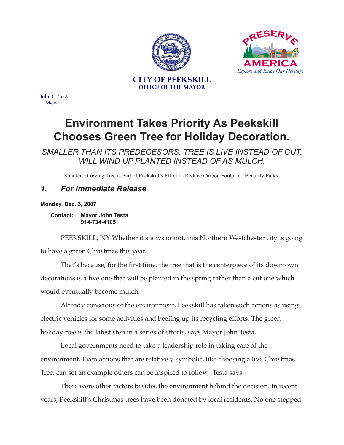



John G. Testa *Mayor*

## **Environment Takes Priority As Peekskill Chooses Green Tree for Holiday Decoration.**

*SMALLER THAN ITS PREDECESORS, TREE IS LIVE INSTEAD OF CUT, WILL WIND UP PLANTED INSTEAD OF AS MULCH.*

Smaller, Growing Tree is Part of Peekskill's Effort to Reduce Carbon Footprint, Beautify Parks.

## *1. For Immediate Release*

**Monday, Dec. 3, 2007**

**Contact: Mayor John Testa 914-734-4105**

PEEKSKILL, NY Whether it snows or not, this Northern Westchester city is going to have a green Christmas this year.

That's because, for the first time, the tree that is the centerpiece of its downtown decorations is a live one that will be planted in the spring rather than a cut one which would eventually become mulch.

Already conscious of the environment, Peekskill has taken such actions as using electric vehicles for some activities and beefing up its recycling efforts. The green holiday tree is the latest step in a series of efforts, says Mayor John Testa.

Local governments need to take a leadership role in taking care of the environment. Even actions that are relatively symbolic, like choosing a live Christmas Tree, can set an example others can be inspired to follow, Testa says.

There were other factors besides the environment behind the decision. In recent years, Peekskill's Christmas trees have been donated by local residents. No one stepped